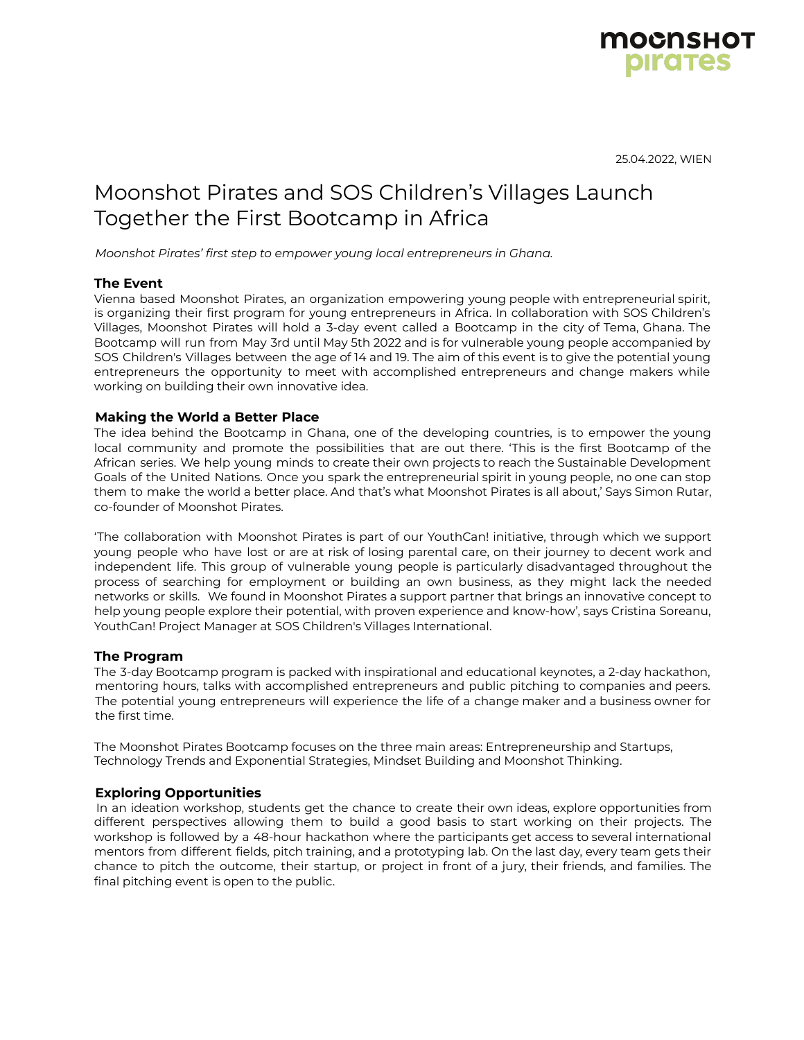

25.04.2022, WIEN

# Moonshot Pirates and SOS Children's Villages Launch Together the First Bootcamp in Africa

*Moonshot Pirates' first step to empower young local entrepreneurs in Ghana.*

# **The Event**

Vienna based Moonshot Pirates, an organization empowering young people with entrepreneurial spirit, is organizing their first program for young entrepreneurs in Africa. In collaboration with SOS Children's Villages, Moonshot Pirates will hold a 3-day event called a Bootcamp in the city of Tema, Ghana. The Bootcamp will run from May 3rd until May 5th 2022 and is for vulnerable young people accompanied by SOS Children's Villages between the age of 14 and 19. The aim of this event is to give the potential young entrepreneurs the opportunity to meet with accomplished entrepreneurs and change makers while working on building their own innovative idea.

#### **Making the World a Better Place**

The idea behind the Bootcamp in Ghana, one of the developing countries, is to empower the young local community and promote the possibilities that are out there. 'This is the first Bootcamp of the African series. We help young minds to create their own projects to reach the Sustainable Development Goals of the United Nations. Once you spark the entrepreneurial spirit in young people, no one can stop them to make the world a better place. And that's what Moonshot Pirates is all about,' Says Simon Rutar, co-founder of Moonshot Pirates.

'The collaboration with Moonshot Pirates is part of our YouthCan! initiative, through which we support young people who have lost or are at risk of losing parental care, on their journey to decent work and independent life. This group of vulnerable young people is particularly disadvantaged throughout the process of searching for employment or building an own business, as they might lack the needed networks or skills. We found in Moonshot Pirates a support partner that brings an innovative concept to help young people explore their potential, with proven experience and know-how', says Cristina Soreanu, YouthCan! Project Manager at SOS Children's Villages International.

#### **The Program**

The 3-day Bootcamp program is packed with inspirational and educational keynotes, a 2-day hackathon, mentoring hours, talks with accomplished entrepreneurs and public pitching to companies and peers. The potential young entrepreneurs will experience the life of a change maker and a business owner for the first time.

The Moonshot Pirates Bootcamp focuses on the three main areas: Entrepreneurship and Startups, Technology Trends and Exponential Strategies, Mindset Building and Moonshot Thinking.

# **Exploring Opportunities**

In an ideation workshop, students get the chance to create their own ideas, explore opportunities from different perspectives allowing them to build a good basis to start working on their projects. The workshop is followed by a 48-hour hackathon where the participants get access to several international mentors from different fields, pitch training, and a prototyping lab. On the last day, every team gets their chance to pitch the outcome, their startup, or project in front of a jury, their friends, and families. The final pitching event is open to the public.